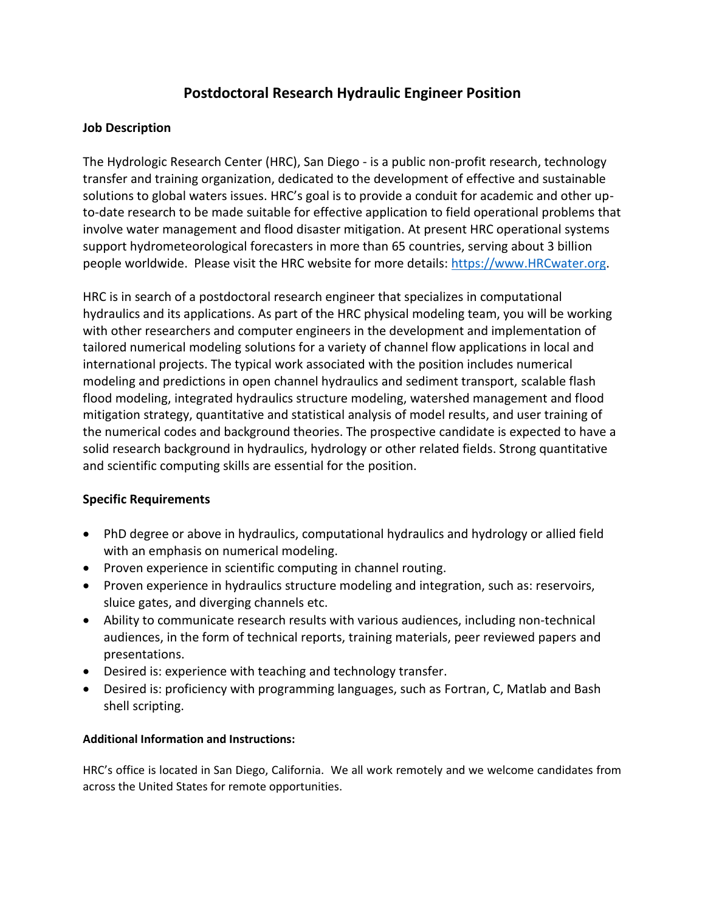## **Postdoctoral Research Hydraulic Engineer Position**

## **Job Description**

The Hydrologic Research Center (HRC), San Diego - is a public non-profit research, technology transfer and training organization, dedicated to the development of effective and sustainable solutions to global waters issues. HRC's goal is to provide a conduit for academic and other upto-date research to be made suitable for effective application to field operational problems that involve water management and flood disaster mitigation. At present HRC operational systems support hydrometeorological forecasters in more than 65 countries, serving about 3 billion people worldwide. Please visit the HRC website for more details: [https://www.HRCwater.org.](https://www.hrcwater.org/)

HRC is in search of a postdoctoral research engineer that specializes in computational hydraulics and its applications. As part of the HRC physical modeling team, you will be working with other researchers and computer engineers in the development and implementation of tailored numerical modeling solutions for a variety of channel flow applications in local and international projects. The typical work associated with the position includes numerical modeling and predictions in open channel hydraulics and sediment transport, scalable flash flood modeling, integrated hydraulics structure modeling, watershed management and flood mitigation strategy, quantitative and statistical analysis of model results, and user training of the numerical codes and background theories. The prospective candidate is expected to have a solid research background in hydraulics, hydrology or other related fields. Strong quantitative and scientific computing skills are essential for the position.

## **Specific Requirements**

- PhD degree or above in hydraulics, computational hydraulics and hydrology or allied field with an emphasis on numerical modeling.
- Proven experience in scientific computing in channel routing.
- Proven experience in hydraulics structure modeling and integration, such as: reservoirs, sluice gates, and diverging channels etc.
- Ability to communicate research results with various audiences, including non-technical audiences, in the form of technical reports, training materials, peer reviewed papers and presentations.
- Desired is: experience with teaching and technology transfer.
- Desired is: proficiency with programming languages, such as Fortran, C, Matlab and Bash shell scripting.

## **Additional Information and Instructions:**

HRC's office is located in San Diego, California. We all work remotely and we welcome candidates from across the United States for remote opportunities.